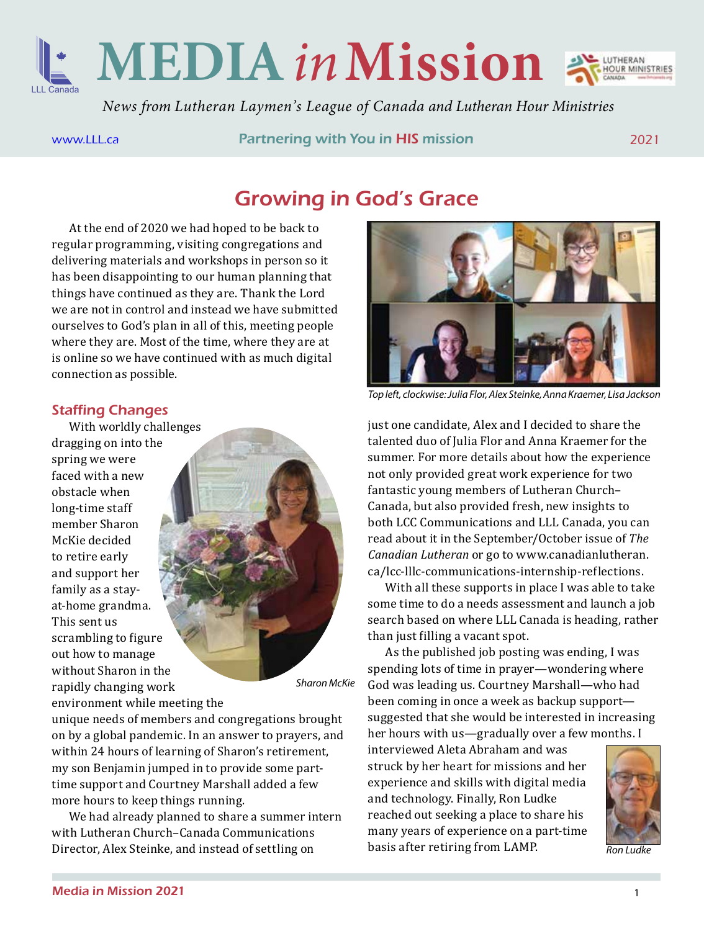

**MEDIA***in***Mission**



*News from Lutheran Laymen's League of Canada and Lutheran Hour Ministries*

[www.LLL.ca](http://www.LLL.ca) **Partnering with You in HIS mission** 2021

## Growing in God's Grace

At the end of 2020 we had hoped to be back to regular programming, visiting congregations and delivering materials and workshops in person so it has been disappointing to our human planning that things have continued as they are. Thank the Lord we are not in control and instead we have submitted ourselves to God's plan in all of this, meeting people where they are. Most of the time, where they are at is online so we have continued with as much digital connection as possible.

### Staffing Changes

With worldly challenges dragging on into the spring we were faced with a new obstacle when long-time staff member Sharon McKie decided to retire early and support her family as a stayat-home grandma. This sent us scrambling to figure out how to manage without Sharon in the rapidly changing work environment while meeting the



unique needs of members and congregations brought on by a global pandemic. In an answer to prayers, and within 24 hours of learning of Sharon's retirement, my son Benjamin jumped in to provide some parttime support and Courtney Marshall added a few

We had already planned to share a summer intern with Lutheran Church–Canada Communications Director, Alex Steinke, and instead of settling on *Ron Ludke* **Ron** Ludke **Ron** Ludke



*Top left, clockwise: Julia Flor, Alex Steinke, Anna Kraemer, Lisa Jackson*

just one candidate, Alex and I decided to share the talented duo of Julia Flor and Anna Kraemer for the summer. For more details about how the experience not only provided great work experience for two fantastic young members of Lutheran Church– Canada, but also provided fresh, new insights to both LCC Communications and LLL Canada, you can read about it in the September/October issue of *The Canadian Lutheran* or go to www.canadianlutheran. ca/lcc-lllc-communications-internship-reflections.

With all these supports in place I was able to take some time to do a needs assessment and launch a job search based on where LLL Canada is heading, rather than just filling a vacant spot.

As the published job posting was ending, I was spending lots of time in prayer—wondering where God was leading us. Courtney Marshall—who had been coming in once a week as backup support suggested that she would be interested in increasing her hours with us—gradually over a few months. I

interviewed Aleta Abraham and was struck by her heart for missions and her experience and skills with digital media and technology. Finally, Ron Ludke reached out seeking a place to share his many years of experience on a part-time basis after retiring from LAMP.



more hours to keep things running.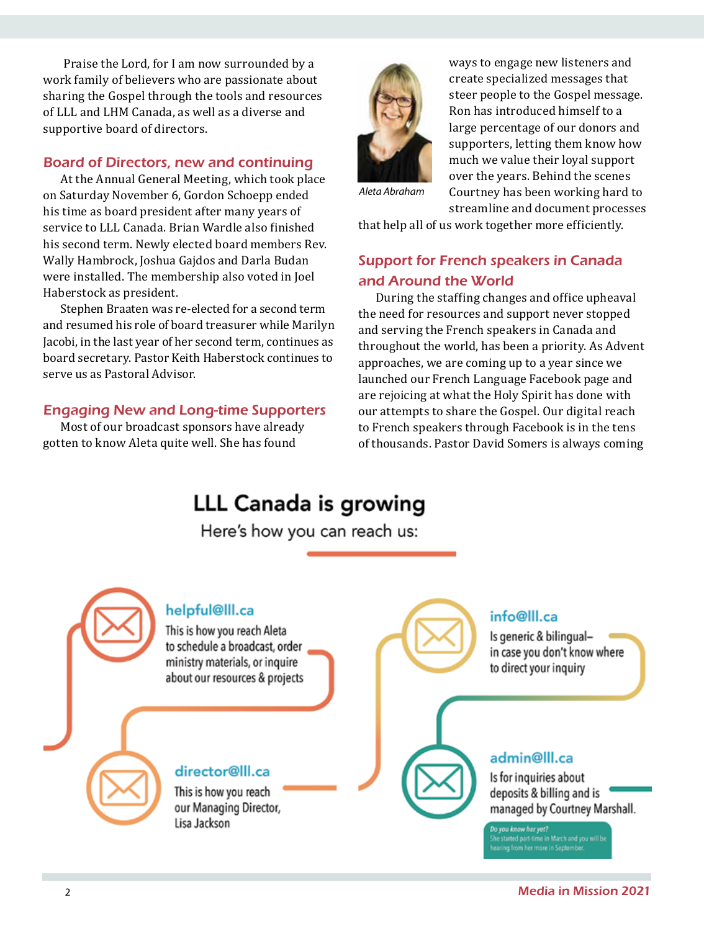Praise the Lord, for I am now surrounded by a work family of believers who are passionate about sharing the Gospel through the tools and resources of LLL and LHM Canada, as well as a diverse and supportive board of directors.

#### Board of Directors, new and continuing

At the Annual General Meeting, which took place on Saturday November 6, Gordon Schoepp ended his time as board president after many years of service to LLL Canada. Brian Wardle also finished his second term. Newly elected board members Rev. Wally Hambrock, Joshua Gajdos and Darla Budan were installed. The membership also voted in Joel Haberstock as president.

Stephen Braaten was re-elected for a second term and resumed his role of board treasurer while Marilyn Jacobi, in the last year of her second term, continues as board secretary. Pastor Keith Haberstock continues to serve us as Pastoral Advisor.

#### Engaging New and Long-time Supporters

Most of our broadcast sponsors have already gotten to know Aleta quite well. She has found



ways to engage new listeners and create specialized messages that steer people to the Gospel message. Ron has introduced himself to a large percentage of our donors and supporters, letting them know how much we value their loyal support over the years. Behind the scenes Courtney has been working hard to streamline and document processes

*Aleta Abraham*

that help all of us work together more efficiently.

## Support for French speakers in Canada and Around the World

During the staffing changes and office upheaval the need for resources and support never stopped and serving the French speakers in Canada and throughout the world, has been a priority. As Advent approaches, we are coming up to a year since we launched our French Language Facebook page and are rejoicing at what the Holy Spirit has done with our attempts to share the Gospel. Our digital reach to French speakers through Facebook is in the tens of thousands. Pastor David Somers is always coming

# LLL Canada is growing

Here's how you can reach us:

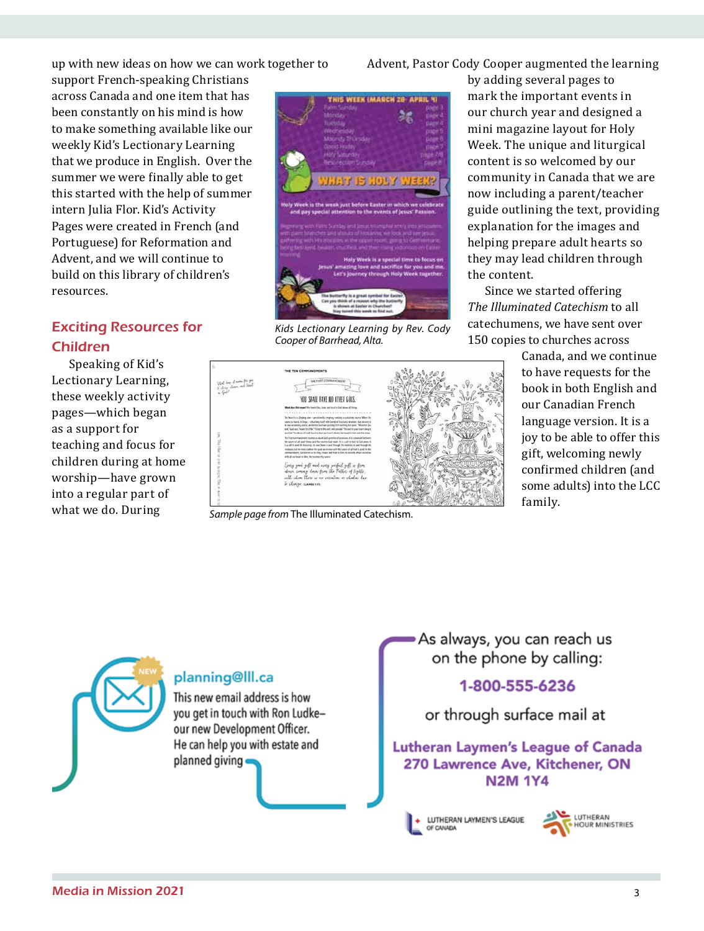up with new ideas on how we can work together to

support French-speaking Christians across Canada and one item that has been constantly on his mind is how to make something available like our weekly Kid's Lectionary Learning that we produce in English. Over the summer we were finally able to get this started with the help of summer intern Julia Flor. Kid's Activity Pages were created in French (and Portuguese) for Reformation and Advent, and we will continue to build on this library of children's resources.

## Exciting Resources for Children

Speaking of Kid's Lectionary Learning, these weekly activity pages—which began as a support for teaching and focus for children during at home worship—have grown into a regular part of what we do. During



*Kids Lectionary Learning by Rev. Cody Cooper of Barrhead, Alta.*



our church year and designed a mini magazine layout for Holy Week. The unique and liturgical content is so welcomed by our community in Canada that we are now including a parent/teacher guide outlining the text, providing explanation for the images and helping prepare adult hearts so they may lead children through the content.

Since we started offering *The Illuminated Catechism* to all catechumens, we have sent over 150 copies to churches across

of door of mann for you.<br>These and fixed FOU SHALL HAVE NO OTHER GODS.

*Sample page from* The Illuminated Catechism.

planning@lll.ca

planned giving

This new email address is how you get in touch with Ron Ludke-

our new Development Officer. He can help you with estate and Canada, and we continue to have requests for the book in both English and our Canadian French language version. It is a joy to be able to offer this gift, welcoming newly confirmed children (and some adults) into the LCC family.

As always, you can reach us on the phone by calling:

## 1-800-555-6236

## or through surface mail at

Lutheran Laymen's League of Canada 270 Lawrence Ave, Kitchener, ON **N2M 1Y4** 

LUTHERAN LAYMEN'S LEAGUE